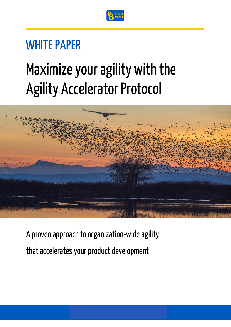

### WHITE PAPER

# Maximize your agility with the Agility Accelerator Protocol



A proven approach to organization-wide agility that accelerates your product development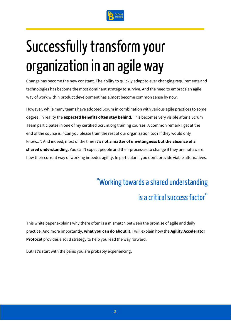

# Successfully transform your organization in an agile way

Change has become the new constant. The ability to quickly adapt to ever changing requirements and technologies has become the most dominant strategy to survive. And the need to embrace an agile way of work within product development has almost become common sense by now.

However, while many teams have adopted Scrum in combination with various agile practices to some degree, in reality the **expected benefits often stay behind**. This becomes very visible after a Scrum Team participates in one of my certified Scrum.org training courses. A common remark I get at the end of the course is: "Can you please train the rest of our organization too? If they would only know...". And indeed, most of the time **it's not a matter of unwillingness but the absence of a shared understanding**. You can't expect people and their processes to change if they are not aware how their current way of working impedes agility. In particular if you don't provide viable alternatives.

### "Working towards a shared understanding is a critical success factor"

This white paper explains why there often is a mismatch between the promise of agile and daily practice. And more importantly, **what you can do about it**. I will explain how the **Agility Accelerator Protocol** provides a solid strategy to help you lead the way forward.

But let's start with the pains you are probably experiencing.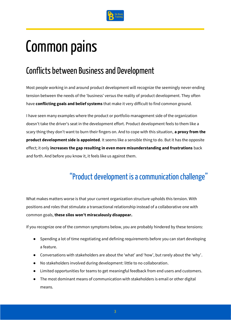

### Common pains

### Conflicts between Business and Development

Most people working in and around product development will recognize the seemingly never-ending tension between the needs of the 'business' versus the reality of product development. They often have **conflicting goals and belief systems** that make it very difficult to find common ground.

I have seen many examples where the product or portfolio management side of the organization doesn't take the driver's seat in the development effort. Product development feels to them like a scary thing they don't want to burn their fingers on. And to cope with this situation, **a proxy from the product development side is appointed**. It seems like a sensible thing to do. But it has the opposite effect; it only **increases the gap resulting in even more misunderstanding and frustrations** back and forth. And before you know it, it feels like us against them.

### "Product development is a communication challenge"

What makes matters worse is that your current organization structure upholds this tension. With positions and roles that stimulate a transactional relationship instead of a collaborative one with common goals, **these silos won't miraculously disappear.**

If you recognize one of the common symptoms below, you are probably hindered by these tensions:

- Spending a lot of time negotiating and defining requirements before you can start developing a feature.
- Conversations with stakeholders are about the 'what' and 'how', but rarely about the 'why'.
- No stakeholders involved during development: little to no collaboration.
- Limited opportunities for teams to get meaningful feedback from end users and customers.
- The most dominant means of communication with stakeholders is email or other digital means.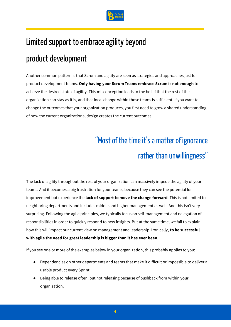

### Limited support to embrace agility beyond

### product development

Another common pattern is that Scrum and agility are seen as strategies and approaches just for product development teams. **Only having your Scrum Teams embrace Scrum is not enough** to achieve the desired state of agility. This misconception leads to the belief that the rest of the organization can stay as it is, and that local change within those teams is sufficient. If you want to change the outcomes that your organization produces, you first need to grow a shared understanding of how the current organizational design creates the current outcomes.

### "Most of the time it's a matter of ignorance rather than unwillingness"

The lack of agility throughout the rest of your organization can massively impede the agility of your teams. And it becomes a big frustration for your teams, because they can see the potential for improvement but experience the **lack of support to move the change forward**. This is not limited to neighboring departments and includes middle and higher management as well. And this isn't very surprising. Following the agile principles, we typically focus on self-management and delegation of responsibilities in order to quickly respond to new insights. But at the same time, we fail to explain how this will impact our current view on management and leadership. Ironically, **to be successful with agile the need for great leadership is bigger than it has ever been**.

If you see one or more of the examples below in your organization, this probably applies to you:

- Dependencies on other departments and teams that make it difficult or impossible to deliver a usable product every Sprint.
- Being able to release often, but not releasing because of pushback from within your organization.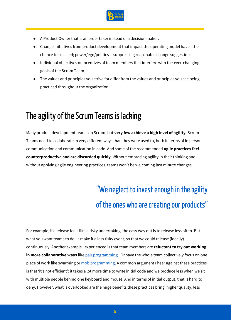

- A Product Owner that is an order taker instead of a decision maker.
- Change initiatives from product development that impact the operating model have little chance to succeed; power/ego/politics is suppressing reasonable change suggestions.
- Individual objectives or incentives of team members that interfere with the ever-changing goals of the Scrum Team.
- The values and principles you strive for differ from the values and principles you see being practiced throughout the organization.

### The agility of the Scrum Teams is lacking

Many product development teams do Scrum, but **very few achieve a high level of agility**. Scrum Teams need to collaborate in very different ways than they were used to, both in terms of in person communication and communication in code. And some of the recommended **agile practices feel counterproductive and are discarded quickly**. Without embracing agility in their thinking and without applying agile engineering practices, teams won't be welcoming last minute changes.

### "We neglect to invest enough in the agility of the ones who are creating our products"

For example, if a release feels like a risky undertaking, the easy way out is to release less often. But what you want teams to do, is make it a less risky event, so that we could release (ideally) continuously. Another example I experienced is that team members are **reluctant to try out working in more collaborative ways** lik[e pair programming.](http://www.extremeprogramming.org/rules/pair.html) Or have the whole team collectively focus on one piece of work like swarming o[r mob programming.](https://youtu.be/OWcKSletcOU) A common argument I hear against these practices is that 'it's not efficient': it takes a lot more time to write initial code and we produce less when we sit with multiple people behind one keyboard and mouse. And in terms of initial output, that is hard to deny. However, what is overlooked are the huge benefits these practices bring: higher quality, less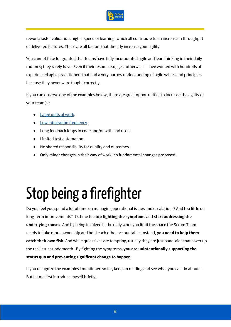

rework, faster validation, higher speed of learning, which all contribute to an increase in throughput of delivered features. These are all factors that directly increase your agility.

You cannot take for granted that teams have fully incorporated agile and lean thinking in their daily routines; they rarely have. Even if their resumes suggest otherwise. I have worked with hundreds of experienced agile practitioners that had a very narrow understanding of agile values and principles because they never were taught correctly.

If you can observe one of the examples below, there are great opportunities to increase the agility of your team(s):

- [Large units of work.](https://medium.com/faun/small-is-beautiful-the-importance-of-batch-size-ea968ed8d477)
- [Low integration frequency.](https://martinfowler.com/bliki/FrequencyReducesDifficulty.html)
- Long feedback loops in code and/or with end users.
- Limited test automation.
- No shared responsibility for quality and outcomes.
- Only minor changes in their way of work; no fundamental changes proposed.

# Stop being a firefighter

Do you feel you spend a lot of time on managing operational issues and escalations? And too little on long-term improvements? It's time to **stop fighting the symptoms** and **start addressing the underlying causes**. And by being involved in the daily work you limit the space the Scrum Team needs to take more ownership and hold each other accountable. Instead, **you need to help them catch their own fish**. And while quick fixes are tempting, usually they are just band-aids that cover up the real issues underneath. By fighting the symptoms, **you are unintentionally supporting the status quo and preventing significant change to happen**.

If you recognize the examples I mentioned so far, keep on reading and see what you can do about it. But let me first introduce myself briefly.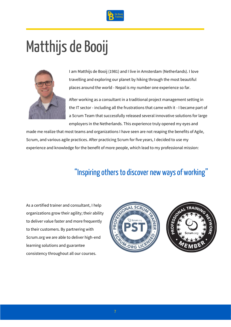

## Matthijs de Booij



I am Matthijs de Booij (1981) and I live in Amsterdam (Netherlands). I love travelling and exploring our planet by hiking through the most beautiful places around the world - Nepal is my number one experience so far.

After working as a consultant in a traditional project management setting in the IT sector - including all the frustrations that came with it - I became part of a Scrum Team that successfully released several innovative solutions for large employers in the Netherlands. This experience truly opened my eyes and

made me realize that most teams and organizations I have seen are not reaping the benefits of Agile, Scrum, and various agile practices. After practicing Scrum for five years, I decided to use my experience and knowledge for the benefit of more people, which lead to my professional mission:

### "Inspiring others to discover new ways of working"

As a certified trainer and consultant, I help organizations grow their agility; their ability to deliver value faster and more frequently to their customers. By partnering with Scrum.org we are able to deliver high-end learning solutions and guarantee consistency throughout all our courses.



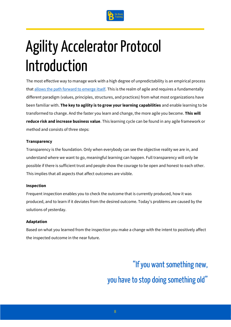

# Agility Accelerator Protocol Introduction

The most effective way to manage work with a high degree of unpredictability is an empirical process tha[t allows the path forward to emerge](https://hbr.org/2007/11/a-leaders-framework-for-decision-making) itself. This is the realm of agile and requires a fundamentally different paradigm (values, principles, structures, and practices) from what most organizations have been familiar with. **The key to agility is to grow your learning capabilities** and enable learning to be transformed to change. And the faster you learn and change, the more agile you become. **This will reduce risk and increase business value**. This learning cycle can be found in any agile framework or method and consists of three steps:

#### **Transparency**

Transparency is the foundation. Only when everybody can see the objective reality we are in, and understand where we want to go, meaningful learning can happen. Full transparency will only be possible if there is sufficient trust and people show the courage to be open and honest to each other. This implies that all aspects that affect outcomes are visible.

#### **Inspection**

Frequent inspection enables you to check the outcome that is currently produced, how it was produced, and to learn if it deviates from the desired outcome. Today's problems are caused by the solutions of yesterday.

#### **Adaptation**

Based on what you learned from the inspection you make a change with the intent to positively affect the inspected outcome in the near future.

> "If you want something new, you have to stop doing something old"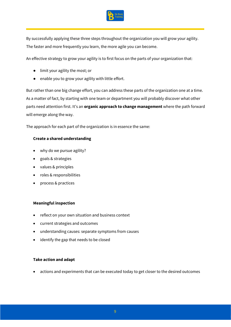

By successfully applying these three steps throughout the organization you will grow your agility. The faster and more frequently you learn, the more agile you can become.

An effective strategy to grow your agility is to first focus on the parts of your organization that:

- limit your agility the most; or
- enable you to grow your agility with little effort.

But rather than one big change effort, you can address these parts of the organization one at a time. As a matter of fact, by starting with one team or department you will probably discover what other parts need attention first. It's an **organic approach to change management** where the path forward will emerge along the way.

The approach for each part of the organization is in essence the same:

#### **Create a shared understanding**

- why do we pursue agility?
- goals & strategies
- values & principles
- roles & responsibilities
- process & practices

#### **Meaningful inspection**

- reflect on your own situation and business context
- current strategies and outcomes
- understanding causes: separate symptoms from causes
- identify the gap that needs to be closed

#### **Take action and adapt**

• actions and experiments that can be executed today to get closer to the desired outcomes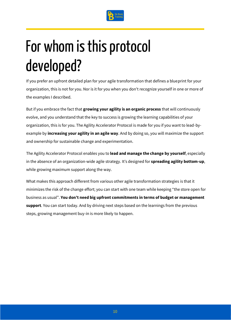

# For whom is this protocol developed?

If you prefer an upfront detailed plan for your agile transformation that defines a blueprint for your organization, this is not for you. Nor is it for you when you don't recognize yourself in one or more of the examples I described.

But if you embrace the fact that **growing your agility is an organic process** that will continuously evolve, and you understand that the key to success is growing the learning capabilities of your organization, this is for you. The Agility Accelerator Protocol is made for you if you want to lead-byexample by **increasing your agility in an agile way**. And by doing so, you will maximize the support and ownership for sustainable change and experimentation.

The Agility Accelerator Protocol enables you to **lead and manage the change by yourself**, especially in the absence of an organization-wide agile strategy. It's designed for **spreading agility bottom-up**, while growing maximum support along the way.

What makes this approach different from various other agile transformation strategies is that it minimizes the risk of the change effort; you can start with one team while keeping "the store open for business as usual". **You don't need big upfront commitments in terms of budget or management support**. You can start today. And by driving next steps based on the learnings from the previous steps, growing management buy-in is more likely to happen.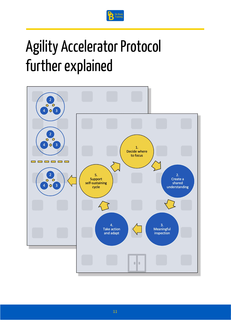

# Agility Accelerator Protocol further explained

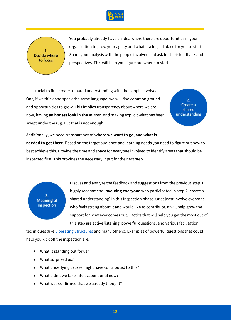



You probably already have an idea where there are opportunities in your organization to grow your agility and what is a logical place for you to start. Share your analysis with the people involved and ask for their feedback and perspectives. This will help you figure out where to start.

It is crucial to first create a shared understanding with the people involved. Only if we think and speak the same language, we will find common ground and opportunities to grow. This implies transparency about where we are now, having **an honest look in the mirror**, and making explicit what has been swept under the rug. But that is not enough.

 $2.$ Create a shared understanding

Additionally, we need transparency of **where we want to go, and what is** 

**needed to get there**. Based on the target audience and learning needs you need to figure out how to best achieve this. Provide the time and space for everyone involved to identify areas that should be inspected first. This provides the necessary input for the next step.



Discuss and analyze the feedback and suggestions from the previous step. I highly recommend **involving everyone** who participated in step 2 (create a shared understanding) in this inspection phase. Or at least involve everyone who feels strong about it and would like to contribute. It will help grow the support for whatever comes out. Tactics that will help you get the most out of this step are active listening, powerful questions, and various facilitation

techniques (lik[e Liberating Structures](http://www.liberatingstructures.com/) and many others). Examples of powerful questions that could help you kick off the inspection are:

- What is standing out for us?
- What surprised us?
- What underlying causes might have contributed to this?
- What didn't we take into account until now?
- What was confirmed that we already thought?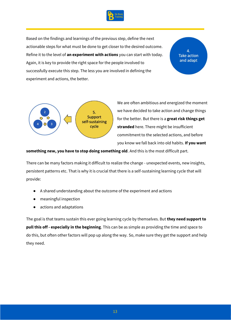

Based on the findings and learnings of the previous step, define the next actionable steps for what must be done to get closer to the desired outcome. Refine it to the level of **an experiment with actions** you can start with today. Again, it is key to provide the right space for the people involved to successfully execute this step. The less you are involved in defining the experiment and actions, the better.

 $\mathbf{A}$ **Take action** and adapt



We are often ambitious and energized the moment we have decided to take action and change things for the better. But there is a **great risk things get stranded** here. There might be insufficient commitment to the selected actions, and before you know we fall back into old habits. **If you want** 

**something new, you have to stop doing something old**. And this is the most difficult part.

There can be many factors making it difficult to realize the change - unexpected events, new insights, persistent patterns etc. That is why it is crucial that there is a self-sustaining learning cycle that will provide:

- A shared understanding about the outcome of the experiment and actions
- meaningful inspection
- actions and adaptations

The goal is that teams sustain this ever going learning cycle by themselves. But **they need support to pull this off - especially in the beginning**. This can be as simple as providing the time and space to do this, but often other factors will pop up along the way. So, make sure they get the support and help they need.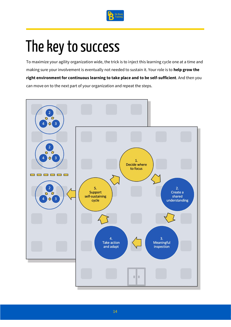

## The key to success

To maximize your agility organization wide, the trick is to inject this learning cycle one at a time and making sure your involvement is eventually not needed to sustain it. Your role is to **help grow the right environment for continuous learning to take place and to be self-sufficient**. And then you can move on to the next part of your organization and repeat the steps.

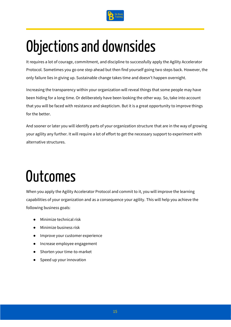

## Objections and downsides

It requires a lot of courage, commitment, and discipline to successfully apply the Agility Accelerator Protocol. Sometimes you go one step ahead but then find yourself going two steps back. However, the only failure lies in giving up. Sustainable change takes time and doesn't happen overnight.

Increasing the transparency within your organization will reveal things that some people may have been hiding for a long time. Or deliberately have been looking the other way. So, take into account that you will be faced with resistance and skepticism. But it is a great opportunity to improve things for the better.

And sooner or later you will identify parts of your organization structure that are in the way of growing your agility any further. It will require a lot of effort to get the necessary support to experiment with alternative structures.

## **Outcomes**

When you apply the Agility Accelerator Protocol and commit to it, you will improve the learning capabilities of your organization and as a consequence your agility. This will help you achieve the following business goals:

- Minimize technical risk
- Minimize business risk
- Improve your customer experience
- Increase employee engagement
- Shorten your time-to-market
- Speed up your innovation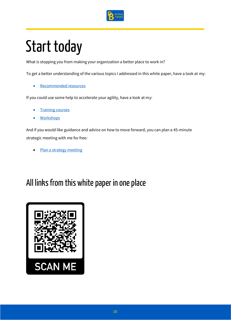

# Start today

What is stopping you from making your organization a better place to work in?

To get a better understanding of the various topics I addressed in this white paper, have a look at my:

• [Recommended resources](https://www.debooij.training/recommended-resources/)

If you could use some help to accelerate your agility, have a look at my:

- **[Training courses](https://www.debooij.training/training-courses/)**
- **[Workshops](https://www.debooij.training/workshop/)**

And if you would like guidance and advice on how to move forward, you can plan a 45-minute strategic meeting with me for free:

[Plan a strategy meeting](https://www.debooij.training/plan-a-meeting/)

### All links from this white paper in one place

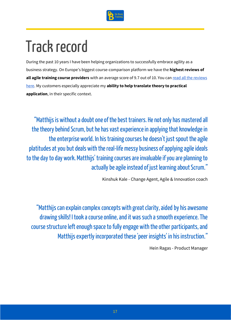

## Track record

During the past 10 years I have been helping organizations to successfully embrace agility as a business strategy. On Europe's biggest course-comparison platform we have the **highest reviews of**  all agile training course providers with an average score of 9.7 out of 10. You can read all the reviews [here.](https://www.debooij.training/) My customers especially appreciate my **ability to help translate theory to practical application**, in their specific context.

"Matthijs is without a doubt one of the best trainers. He not only has mastered all the theory behind Scrum, but he has vast experience in applying that knowledge in the enterprise world. In his training courses he doesn't just spout the agile platitudes at you but deals with the real-life messy business of applying agile ideals to the day to day work. Matthijs' training courses are invaluable if you are planning to actually be agile instead of just learning about Scrum."

Kinshuk Kale - Change Agent, Agile & Innovation coach

"Matthijs can explain complex concepts with great clarity, aided by his awesome drawing skills! I took a course online, and it was such a smooth experience. The course structure left enough space to fully engage with the other participants, and Matthijs expertly incorporated these 'peer insights' in his instruction."

Hein Ragas - Product Manager